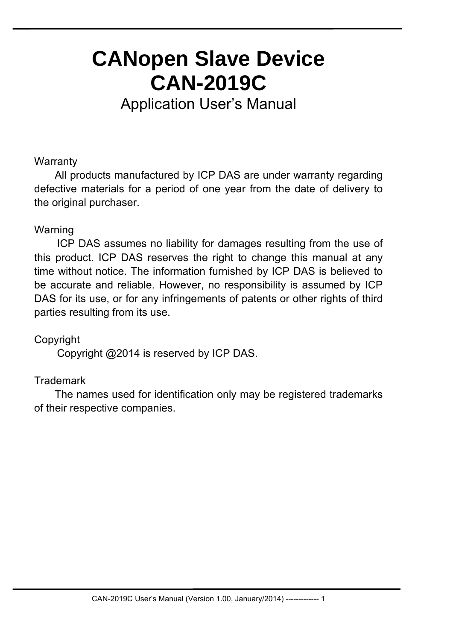# **CANopen Slave Device CAN-2019C**

Application User's Manual

## **Warranty**

All products manufactured by ICP DAS are under warranty regarding defective materials for a period of one year from the date of delivery to the original purchaser.

#### Warning

ICP DAS assumes no liability for damages resulting from the use of this product. ICP DAS reserves the right to change this manual at any time without notice. The information furnished by ICP DAS is believed to be accurate and reliable. However, no responsibility is assumed by ICP DAS for its use, or for any infringements of patents or other rights of third parties resulting from its use.

## Copyright

Copyright @2014 is reserved by ICP DAS.

## **Trademark**

The names used for identification only may be registered trademarks of their respective companies.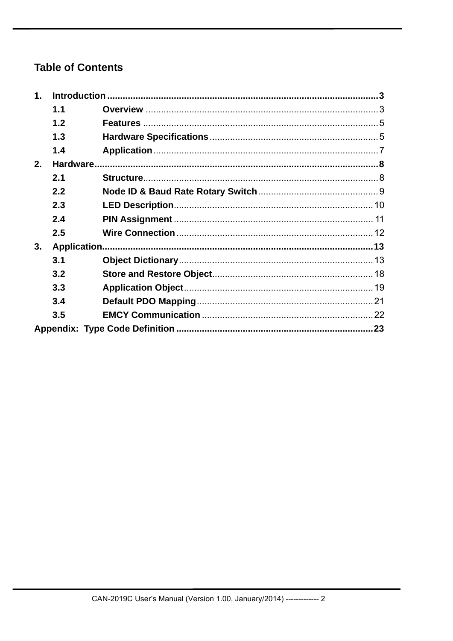# **Table of Contents**

| $\mathbf{1}$ . |     |  |
|----------------|-----|--|
|                | 1.1 |  |
|                | 1.2 |  |
|                | 1.3 |  |
|                | 1.4 |  |
| 2.             |     |  |
|                | 2.1 |  |
|                | 2.2 |  |
|                | 2.3 |  |
|                | 2.4 |  |
|                | 2.5 |  |
| 3.             |     |  |
|                | 3.1 |  |
|                | 3.2 |  |
|                | 3.3 |  |
|                | 3.4 |  |
|                | 3.5 |  |
|                |     |  |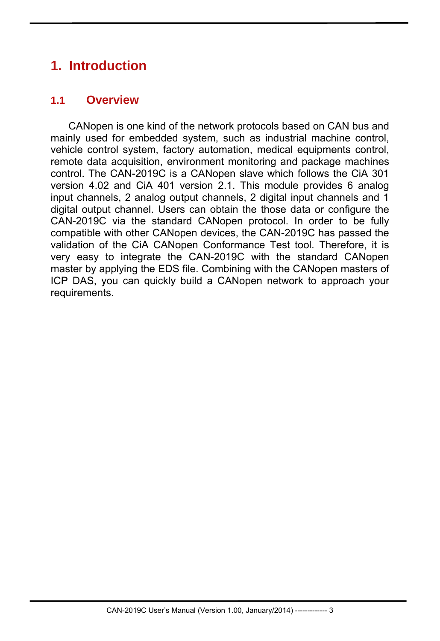# **1. Introduction**

## **1.1 Overview**

 CANopen is one kind of the network protocols based on CAN bus and mainly used for embedded system, such as industrial machine control, vehicle control system, factory automation, medical equipments control, remote data acquisition, environment monitoring and package machines control. The CAN-2019C is a CANopen slave which follows the CiA 301 version 4.02 and CiA 401 version 2.1. This module provides 6 analog input channels, 2 analog output channels, 2 digital input channels and 1 digital output channel. Users can obtain the those data or configure the CAN-2019C via the standard CANopen protocol. In order to be fully compatible with other CANopen devices, the CAN-2019C has passed the validation of the CiA CANopen Conformance Test tool. Therefore, it is very easy to integrate the CAN-2019C with the standard CANopen master by applying the EDS file. Combining with the CANopen masters of ICP DAS, you can quickly build a CANopen network to approach your requirements.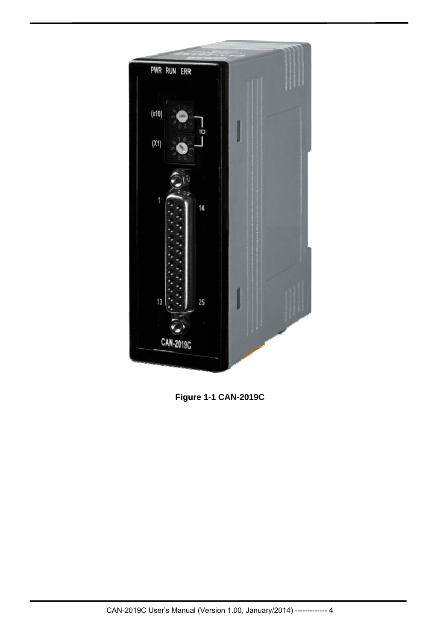

**Figure 1-1 CAN-2019C**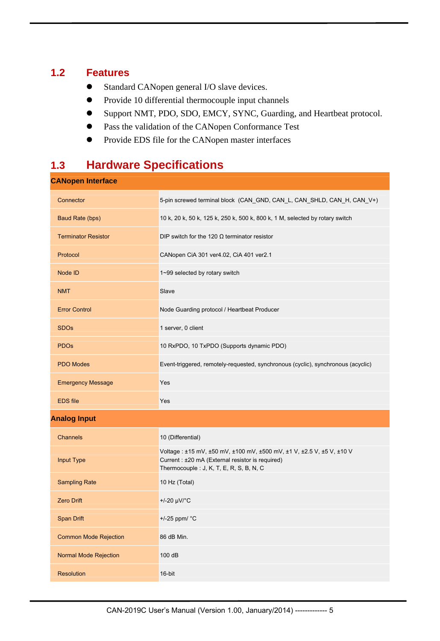## **1.2 Features**

- Standard CANopen general I/O slave devices.
- Provide 10 differential thermocouple input channels
- Support NMT, PDO, SDO, EMCY, SYNC, Guarding, and Heartbeat protocol.
- Pass the validation of the CANopen Conformance Test
- **•** Provide EDS file for the CANopen master interfaces

# **1.3 Hardware Specifications**

| <b>CANopen Interface</b>     |                                                                                                                                                                      |
|------------------------------|----------------------------------------------------------------------------------------------------------------------------------------------------------------------|
| Connector                    | 5-pin screwed terminal block (CAN_GND, CAN_L, CAN_SHLD, CAN_H, CAN_V+)                                                                                               |
| Baud Rate (bps)              | 10 k, 20 k, 50 k, 125 k, 250 k, 500 k, 800 k, 1 M, selected by rotary switch                                                                                         |
| <b>Terminator Resistor</b>   | DIP switch for the 120 $\Omega$ terminator resistor                                                                                                                  |
| Protocol                     | CANopen CiA 301 ver4.02, CiA 401 ver2.1                                                                                                                              |
| Node ID                      | 1~99 selected by rotary switch                                                                                                                                       |
| <b>NMT</b>                   | Slave                                                                                                                                                                |
| <b>Error Control</b>         | Node Guarding protocol / Heartbeat Producer                                                                                                                          |
| <b>SDOs</b>                  | 1 server, 0 client                                                                                                                                                   |
| <b>PDO<sub>s</sub></b>       | 10 RxPDO, 10 TxPDO (Supports dynamic PDO)                                                                                                                            |
| <b>PDO Modes</b>             | Event-triggered, remotely-requested, synchronous (cyclic), synchronous (acyclic)                                                                                     |
| <b>Emergency Message</b>     | Yes                                                                                                                                                                  |
| <b>EDS</b> file              | Yes                                                                                                                                                                  |
| <b>Analog Input</b>          |                                                                                                                                                                      |
|                              |                                                                                                                                                                      |
| Channels                     | 10 (Differential)                                                                                                                                                    |
| Input Type                   | Voltage: ±15 mV, ±50 mV, ±100 mV, ±500 mV, ±1 V, ±2.5 V, ±5 V, ±10 V<br>Current : ±20 mA (External resistor is required)<br>Thermocouple : J, K, T, E, R, S, B, N, C |
| <b>Sampling Rate</b>         | 10 Hz (Total)                                                                                                                                                        |
| <b>Zero Drift</b>            | +/-20 µV/°C                                                                                                                                                          |
| <b>Span Drift</b>            | +/-25 ppm/ °C                                                                                                                                                        |
| <b>Common Mode Rejection</b> | 86 dB Min.                                                                                                                                                           |
| Normal Mode Rejection        | 100 dB                                                                                                                                                               |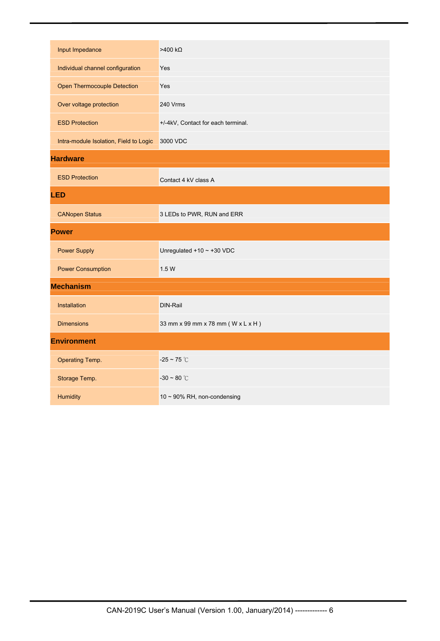| Input Impedance                        | $>400 k\Omega$                     |
|----------------------------------------|------------------------------------|
| Individual channel configuration       | Yes                                |
| Open Thermocouple Detection            | <b>Yes</b>                         |
| Over voltage protection                | 240 Vrms                           |
| <b>ESD Protection</b>                  | +/-4kV, Contact for each terminal. |
| Intra-module Isolation, Field to Logic | 3000 VDC                           |
| <b>Hardware</b>                        |                                    |
| <b>ESD Protection</b>                  | Contact 4 kV class A               |
| <b>LED</b>                             |                                    |
| <b>CANopen Status</b>                  | 3 LEDs to PWR, RUN and ERR         |
| <b>Power</b>                           |                                    |
| <b>Power Supply</b>                    | Unregulated $+10 \sim +30$ VDC     |
| <b>Power Consumption</b>               | 1.5 W                              |
| <b>Mechanism</b>                       |                                    |
| Installation                           | <b>DIN-Rail</b>                    |
| <b>Dimensions</b>                      | 33 mm x 99 mm x 78 mm (W x L x H)  |
| <b>Environment</b>                     |                                    |
| Operating Temp.                        | $-25 \sim 75$ °C                   |
| Storage Temp.                          | $-30 \sim 80$ °C                   |
| Humidity                               | 10 ~ 90% RH, non-condensing        |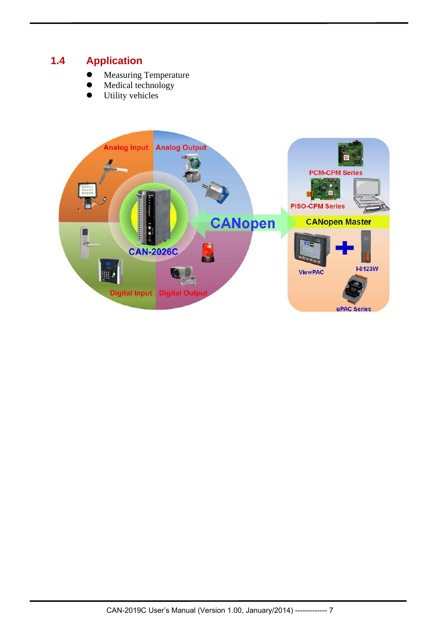## **1.4 Application**

- Measuring Temperature
- Medical technology
- **•** Utility vehicles

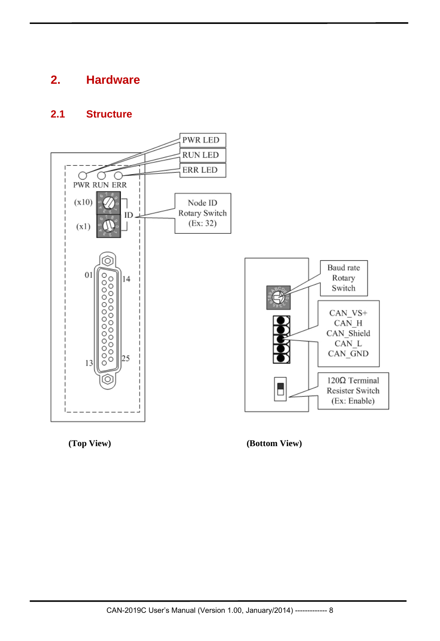# **2. Hardware**

## **2.1 Structure**





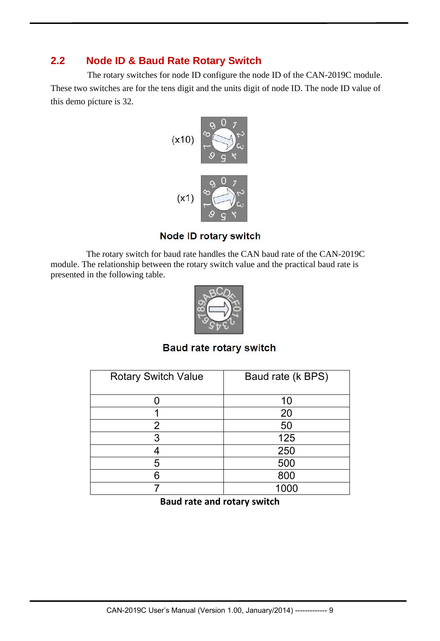## **2.2 Node ID & Baud Rate Rotary Switch**

The rotary switches for node ID configure the node ID of the CAN-2019C module. These two switches are for the tens digit and the units digit of node ID. The node ID value of this demo picture is 32.



**Node ID rotary switch** 

 The rotary switch for baud rate handles the CAN baud rate of the CAN-2019C module. The relationship between the rotary switch value and the practical baud rate is presented in the following table.



**Baud rate rotary switch** 

| <b>Rotary Switch Value</b> | Baud rate (k BPS) |
|----------------------------|-------------------|
|                            | 10                |
|                            | 20                |
| 2                          | 50                |
| 3                          | 125               |
|                            | 250               |
| 5                          | 500               |
| 6                          | 800               |
|                            |                   |

**Baud rate and rotary switch**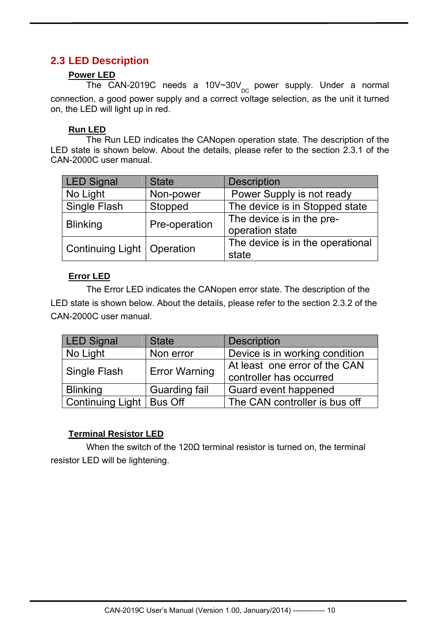## **2.3 LED Description**

#### **Power LED**

The CAN-2019C needs a 10V~30V<sub>pc</sub> power supply. Under a normal connection, a good power supply and a correct voltage selection, as the unit it turned on, the LED will light up in red.

#### **Run LED**

 The Run LED indicates the CANopen operation state. The description of the LED state is shown below. About the details, please refer to the section 2.3.1 of the CAN-2000C user manual.

| <b>LED Signal</b>            | <b>State</b>  | <b>Description</b>                           |
|------------------------------|---------------|----------------------------------------------|
| No Light                     | Non-power     | Power Supply is not ready                    |
| <b>Single Flash</b>          | Stopped       | The device is in Stopped state               |
| <b>Blinking</b>              | Pre-operation | The device is in the pre-<br>operation state |
| Continuing Light   Operation |               | The device is in the operational<br>state    |

#### **Error LED**

 The Error LED indicates the CANopen error state. The description of the LED state is shown below. About the details, please refer to the section 2.3.2 of the CAN-2000C user manual.

| <b>LED Signal</b>          | <b>State</b>         | <b>Description</b>                                       |  |  |
|----------------------------|----------------------|----------------------------------------------------------|--|--|
| No Light                   | Non error            | Device is in working condition                           |  |  |
| Single Flash               | <b>Error Warning</b> | At least one error of the CAN<br>controller has occurred |  |  |
| <b>Blinking</b>            | <b>Guarding fail</b> | Guard event happened                                     |  |  |
| Continuing Light   Bus Off |                      | The CAN controller is bus off                            |  |  |

#### **Terminal Resistor LED**

 When the switch of the 120Ω terminal resistor is turned on, the terminal resistor LED will be lightening.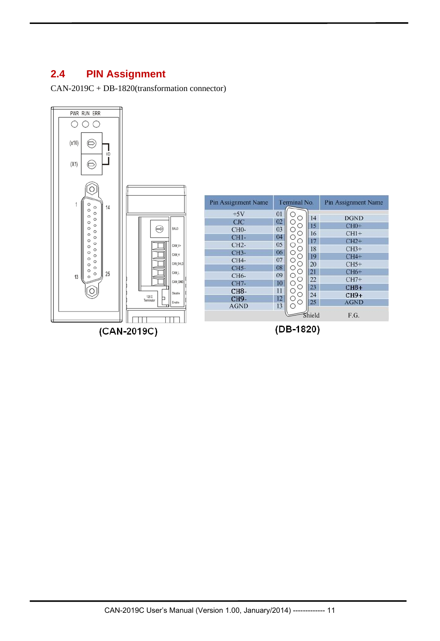## **2.4 PIN Assignment**

CAN-2019C + DB-1820(transformation connector)



| Pin Assignment Name                                                                                                                             |                                                                            | Terminal No.                                                                   |                                                                      | Pin Assignment Name                                                                                                            |  |  |
|-------------------------------------------------------------------------------------------------------------------------------------------------|----------------------------------------------------------------------------|--------------------------------------------------------------------------------|----------------------------------------------------------------------|--------------------------------------------------------------------------------------------------------------------------------|--|--|
| $+5V$<br>CJC<br><b>CH0-</b><br>$CH1-$<br>$CH2-$<br><b>CH3-</b><br>$CH4-$<br>$CH5-$<br>CH6-<br>CH7-<br><b>CH8-</b><br><b>CH9-</b><br><b>AGND</b> | 01<br>02<br>03<br>04<br>05<br>06<br>07<br>08<br>09<br>10<br>11<br>12<br>13 | O<br>∩<br>∩<br>O<br>O<br>O<br>n<br>O<br>( )<br>Ω<br>∩<br>O<br>Ω<br>Э<br>Ð<br>0 | 14<br>15<br>16<br>17<br>18<br>19<br>20<br>21<br>22<br>23<br>24<br>25 | <b>DGND</b><br>$CH0+$<br>$CH1+$<br>$CH2+$<br>$CH3+$<br>$CH4+$<br>$CH5+$<br>$CH6+$<br>$CH7+$<br>$CH8+$<br>$CH9+$<br><b>AGND</b> |  |  |
|                                                                                                                                                 |                                                                            |                                                                                | Shield                                                               | F.G.                                                                                                                           |  |  |

 $(CAN-2019C)$ 

(DB-1820)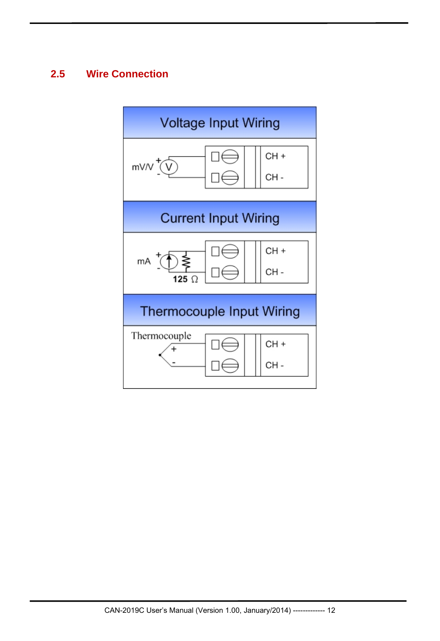## **2.5 Wire Connection**

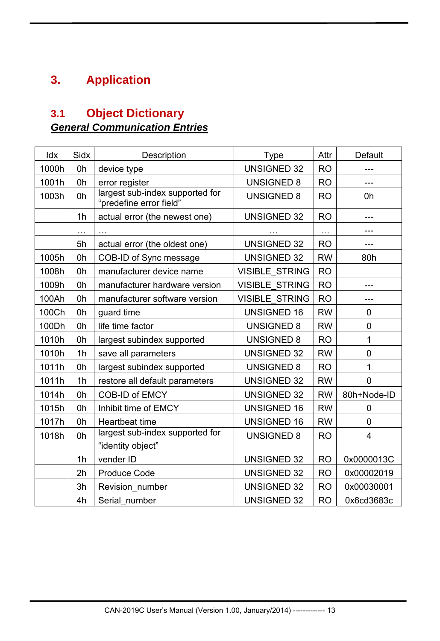# **3. Application**

# **3.1 Object Dictionary**  *General Communication Entries*

| Idx   | Sidx           | Description                                                | <b>Type</b>           | Attr      | <b>Default</b> |
|-------|----------------|------------------------------------------------------------|-----------------------|-----------|----------------|
| 1000h | 0h             | device type                                                | <b>UNSIGNED 32</b>    | <b>RO</b> |                |
| 1001h | 0h             | error register                                             | <b>UNSIGNED 8</b>     | <b>RO</b> | ---            |
| 1003h | 0h             | largest sub-index supported for<br>'predefine error field" | <b>UNSIGNED 8</b>     | <b>RO</b> | 0h             |
|       | 1 <sub>h</sub> | actual error (the newest one)                              | <b>UNSIGNED 32</b>    | <b>RO</b> | ---            |
|       | $\ddotsc$      |                                                            | .                     | .         |                |
|       | 5h             | actual error (the oldest one)                              | <b>UNSIGNED 32</b>    | <b>RO</b> | $---$          |
| 1005h | 0h             | COB-ID of Sync message                                     | <b>UNSIGNED 32</b>    | <b>RW</b> | 80h            |
| 1008h | 0h             | manufacturer device name                                   | <b>VISIBLE STRING</b> | <b>RO</b> |                |
| 1009h | 0h             | manufacturer hardware version                              | <b>VISIBLE STRING</b> | <b>RO</b> | ---            |
| 100Ah | 0h             | manufacturer software version                              | <b>VISIBLE STRING</b> | <b>RO</b> |                |
| 100Ch | 0h             | guard time                                                 | <b>UNSIGNED 16</b>    | <b>RW</b> | 0              |
| 100Dh | 0h             | life time factor                                           | <b>UNSIGNED 8</b>     | <b>RW</b> | $\overline{0}$ |
| 1010h | 0h             | largest subindex supported                                 | <b>UNSIGNED 8</b>     | <b>RO</b> | 1              |
| 1010h | 1 <sub>h</sub> | save all parameters                                        | <b>UNSIGNED 32</b>    | <b>RW</b> | 0              |
| 1011h | 0h             | largest subindex supported                                 | <b>UNSIGNED 8</b>     | <b>RO</b> | 1              |
| 1011h | 1 <sub>h</sub> | restore all default parameters                             | <b>UNSIGNED 32</b>    | <b>RW</b> | 0              |
| 1014h | 0h             | <b>COB-ID of EMCY</b>                                      | <b>UNSIGNED 32</b>    | <b>RW</b> | 80h+Node-ID    |
| 1015h | 0h             | Inhibit time of EMCY                                       | <b>UNSIGNED 16</b>    | <b>RW</b> | 0              |
| 1017h | 0h             | Heartbeat time                                             | <b>UNSIGNED 16</b>    | <b>RW</b> | 0              |
| 1018h | 0h             | largest sub-index supported for<br>"identity object"       | <b>UNSIGNED 8</b>     | <b>RO</b> | 4              |
|       | 1 <sub>h</sub> | vender ID                                                  | <b>UNSIGNED 32</b>    | <b>RO</b> | 0x0000013C     |
|       | 2h             | <b>Produce Code</b>                                        | <b>UNSIGNED 32</b>    | <b>RO</b> | 0x00002019     |
|       | 3h             | Revision number                                            | <b>UNSIGNED 32</b>    | <b>RO</b> | 0x00030001     |
|       | 4h             | Serial number                                              | <b>UNSIGNED 32</b>    | <b>RO</b> | 0x6cd3683c     |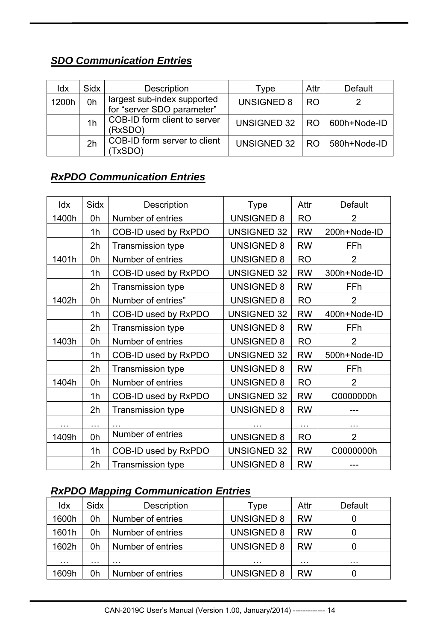## *SDO Communication Entries*

| ldx   | Sidx           | <b>Description</b>                                        | Type               | Attr      | Default             |
|-------|----------------|-----------------------------------------------------------|--------------------|-----------|---------------------|
| 1200h | 0h             | largest sub-index supported<br>for "server SDO parameter" | <b>UNSIGNED 8</b>  | <b>RO</b> |                     |
|       | 1 <sub>h</sub> | COB-ID form client to server<br>(RxSDO)                   | UNSIGNED 32        | - RO      | $\mid$ 600h+Node-ID |
|       | 2h             | COB-ID form server to client<br>TxSDO)                    | <b>UNSIGNED 32</b> | RO.       | 580h+Node-ID        |

# *RxPDO Communication Entries*

| Idx                  | Sidx                 | Description              | <b>Type</b>        | Attr      | <b>Default</b> |
|----------------------|----------------------|--------------------------|--------------------|-----------|----------------|
| 1400h                | 0h                   | Number of entries        | <b>UNSIGNED 8</b>  | <b>RO</b> | $\overline{2}$ |
|                      | 1 <sub>h</sub>       | COB-ID used by RxPDO     | <b>UNSIGNED 32</b> | <b>RW</b> | 200h+Node-ID   |
|                      | 2h                   | <b>Transmission type</b> | <b>UNSIGNED 8</b>  | <b>RW</b> | FFh            |
| 1401h                | 0h                   | Number of entries        | <b>UNSIGNED 8</b>  | <b>RO</b> | $\overline{2}$ |
|                      | 1 <sub>h</sub>       | COB-ID used by RxPDO     | <b>UNSIGNED 32</b> | <b>RW</b> | 300h+Node-ID   |
|                      | 2h                   | <b>Transmission type</b> | <b>UNSIGNED 8</b>  | <b>RW</b> | FFh            |
| 1402h                | 0h                   | Number of entries"       | <b>UNSIGNED 8</b>  | <b>RO</b> | $\overline{2}$ |
|                      | 1 <sub>h</sub>       | COB-ID used by RxPDO     | <b>UNSIGNED 32</b> | <b>RW</b> | 400h+Node-ID   |
|                      | 2h                   | <b>Transmission type</b> | <b>UNSIGNED 8</b>  | <b>RW</b> | FFh            |
| 1403h                | 0h                   | Number of entries        | <b>UNSIGNED 8</b>  | <b>RO</b> | 2              |
|                      | 1h                   | COB-ID used by RxPDO     | <b>UNSIGNED 32</b> | <b>RW</b> | 500h+Node-ID   |
|                      | 2h                   | <b>Transmission type</b> | <b>UNSIGNED 8</b>  | <b>RW</b> | FFh            |
| 1404h                | 0h                   | Number of entries        | <b>UNSIGNED 8</b>  | <b>RO</b> | $\overline{2}$ |
|                      | 1 <sub>h</sub>       | COB-ID used by RxPDO     | <b>UNSIGNED 32</b> | <b>RW</b> | C0000000h      |
|                      | 2h                   | <b>Transmission type</b> | <b>UNSIGNED 8</b>  | <b>RW</b> |                |
| $\sim$ $\sim$ $\sim$ | $\sim$ $\sim$ $\sim$ |                          | $\cdots$           | $\cdots$  | $\cdots$       |
| 1409h                | 0h                   | Number of entries        | <b>UNSIGNED 8</b>  | <b>RO</b> | $\overline{2}$ |
|                      | 1 <sub>h</sub>       | COB-ID used by RxPDO     | <b>UNSIGNED 32</b> | <b>RW</b> | C0000000h      |
|                      | 2h                   | <b>Transmission type</b> | <b>UNSIGNED 8</b>  | <b>RW</b> |                |

## *RxPDO Mapping Communication Entries*

| Idx   | Sidx | <b>Description</b> | Type              | Attr      | Default |
|-------|------|--------------------|-------------------|-----------|---------|
| 1600h | 0h   | Number of entries  | <b>UNSIGNED 8</b> | <b>RW</b> |         |
| 1601h | 0h   | Number of entries  | <b>UNSIGNED 8</b> | <b>RW</b> |         |
| 1602h | 0h   | Number of entries  | <b>UNSIGNED 8</b> | <b>RW</b> |         |
| .     | .    | .                  | .                 | .         | .       |
| 1609h | 0h   | Number of entries  | <b>UNSIGNED 8</b> | <b>RW</b> |         |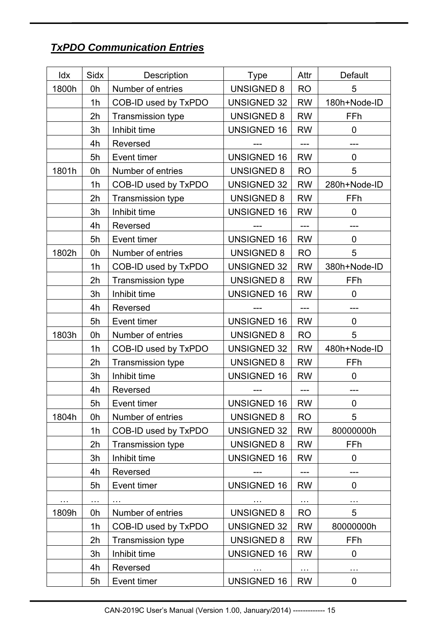# *TxPDO Communication Entries*

| Idx   | Sidx           | Description              | Type               | Attr      | <b>Default</b> |
|-------|----------------|--------------------------|--------------------|-----------|----------------|
| 1800h | 0h             | Number of entries        | <b>UNSIGNED 8</b>  | <b>RO</b> | 5              |
|       | 1 <sub>h</sub> | COB-ID used by TxPDO     | <b>UNSIGNED 32</b> | <b>RW</b> | 180h+Node-ID   |
|       | 2h             | <b>Transmission type</b> | <b>UNSIGNED 8</b>  | <b>RW</b> | FFh            |
|       | 3h             | Inhibit time             | <b>UNSIGNED 16</b> | <b>RW</b> | 0              |
|       | 4h             | Reversed                 |                    | ---       | ---            |
|       | 5h             | Event timer              | <b>UNSIGNED 16</b> | <b>RW</b> | $\overline{0}$ |
| 1801h | 0h             | Number of entries        | <b>UNSIGNED 8</b>  | <b>RO</b> | 5              |
|       | 1 <sub>h</sub> | COB-ID used by TxPDO     | <b>UNSIGNED 32</b> | <b>RW</b> | 280h+Node-ID   |
|       | 2h             | <b>Transmission type</b> | <b>UNSIGNED 8</b>  | <b>RW</b> | FFh            |
|       | 3h             | Inhibit time             | <b>UNSIGNED 16</b> | <b>RW</b> | $\overline{0}$ |
|       | 4h             | Reversed                 |                    | ---       |                |
|       | 5h             | Event timer              | <b>UNSIGNED 16</b> | <b>RW</b> | $\overline{0}$ |
| 1802h | 0h             | Number of entries        | <b>UNSIGNED 8</b>  | <b>RO</b> | 5              |
|       | 1h             | COB-ID used by TxPDO     | <b>UNSIGNED 32</b> | <b>RW</b> | 380h+Node-ID   |
|       | 2h             | Transmission type        | <b>UNSIGNED 8</b>  | <b>RW</b> | FFh            |
|       | 3h             | Inhibit time             | <b>UNSIGNED 16</b> | <b>RW</b> | 0              |
|       | 4h             | Reversed                 |                    | $---$     | $---$          |
|       | 5h             | Event timer              | <b>UNSIGNED 16</b> | <b>RW</b> | $\overline{0}$ |
| 1803h | 0h             | Number of entries        | <b>UNSIGNED 8</b>  | <b>RO</b> | 5              |
|       | 1 <sub>h</sub> | COB-ID used by TxPDO     | <b>UNSIGNED 32</b> | <b>RW</b> | 480h+Node-ID   |
|       | 2h             | Transmission type        | <b>UNSIGNED 8</b>  | <b>RW</b> | FFh            |
|       | 3h             | Inhibit time             | <b>UNSIGNED 16</b> | <b>RW</b> | $\mathbf 0$    |
|       | 4h             | Reversed                 |                    | ---       |                |
|       | 5h             | Event timer              | <b>UNSIGNED 16</b> | <b>RW</b> | 0              |
| 1804h | 0h             | Number of entries        | <b>UNSIGNED 8</b>  | <b>RO</b> | 5              |
|       | 1h             | COB-ID used by TxPDO     | <b>UNSIGNED 32</b> | <b>RW</b> | 80000000h      |
|       | 2h             | <b>Transmission type</b> | <b>UNSIGNED 8</b>  | <b>RW</b> | FFh            |
|       | 3h             | Inhibit time             | <b>UNSIGNED 16</b> | <b>RW</b> | 0              |
|       | 4h             | Reversed                 |                    | ---       | ---            |
|       | 5h             | Event timer              | <b>UNSIGNED 16</b> | <b>RW</b> | 0              |
|       | $\cdots$       |                          |                    | $\sim$    | $\sim$         |
| 1809h | 0h             | Number of entries        | <b>UNSIGNED 8</b>  | <b>RO</b> | 5              |
|       | 1 <sub>h</sub> | COB-ID used by TxPDO     | <b>UNSIGNED 32</b> | <b>RW</b> | 80000000h      |
|       | 2h             | <b>Transmission type</b> | <b>UNSIGNED 8</b>  | <b>RW</b> | FFh            |
|       | 3h             | Inhibit time             | <b>UNSIGNED 16</b> | <b>RW</b> | 0              |
|       | 4h             | Reversed                 | $\cdots$           | $\cdots$  | $\cdots$       |
|       | 5h             | Event timer              | <b>UNSIGNED 16</b> | <b>RW</b> | 0              |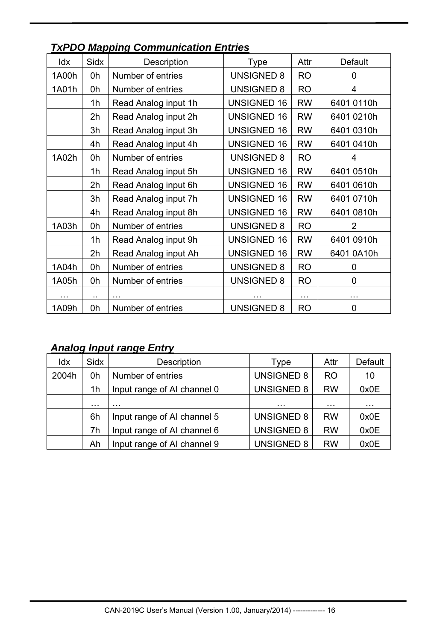| Idx      | Sidx                 | Description          | Type               | Attr          | <b>Default</b> |
|----------|----------------------|----------------------|--------------------|---------------|----------------|
| 1A00h    | 0h                   | Number of entries    | <b>UNSIGNED 8</b>  | <b>RO</b>     | 0              |
| 1A01h    | 0h                   | Number of entries    | <b>UNSIGNED 8</b>  | <b>RO</b>     | 4              |
|          | 1 <sub>h</sub>       | Read Analog input 1h | <b>UNSIGNED 16</b> | <b>RW</b>     | 6401 0110h     |
|          | 2h                   | Read Analog input 2h | <b>UNSIGNED 16</b> | <b>RW</b>     | 6401 0210h     |
|          | 3h                   | Read Analog input 3h | <b>UNSIGNED 16</b> | <b>RW</b>     | 6401 0310h     |
|          | 4h                   | Read Analog input 4h | <b>UNSIGNED 16</b> | <b>RW</b>     | 6401 0410h     |
| 1A02h    | 0h                   | Number of entries    | <b>UNSIGNED 8</b>  | <b>RO</b>     | 4              |
|          | 1 <sub>h</sub>       | Read Analog input 5h | <b>UNSIGNED 16</b> | <b>RW</b>     | 6401 0510h     |
|          | 2h                   | Read Analog input 6h | <b>UNSIGNED 16</b> | <b>RW</b>     | 6401 0610h     |
|          | 3h                   | Read Analog input 7h | <b>UNSIGNED 16</b> | <b>RW</b>     | 6401 0710h     |
|          | 4h                   | Read Analog input 8h | <b>UNSIGNED 16</b> | <b>RW</b>     | 6401 0810h     |
| 1A03h    | 0h                   | Number of entries    | <b>UNSIGNED 8</b>  | <b>RO</b>     | $\overline{2}$ |
|          | 1h                   | Read Analog input 9h | <b>UNSIGNED 16</b> | <b>RW</b>     | 6401 0910h     |
|          | 2h                   | Read Analog input Ah | <b>UNSIGNED 16</b> | <b>RW</b>     | 6401 0A10h     |
| 1A04h    | 0h                   | Number of entries    | <b>UNSIGNED 8</b>  | <b>RO</b>     | 0              |
| 1A05h    | 0h                   | Number of entries    | <b>UNSIGNED 8</b>  | <b>RO</b>     | 0              |
| $\cdots$ | $\ddot{\phantom{1}}$ |                      |                    | $\sim$ $\sim$ | .              |
| 1A09h    | 0h                   | Number of entries    | <b>UNSIGNED 8</b>  | <b>RO</b>     | 0              |

# *TxPDO Mapping Communication Entries*

## *Analog Input range Entry*

| Idx   | <b>Sidx</b> | <b>Description</b>          | Type              | Attr           | <b>Default</b> |
|-------|-------------|-----------------------------|-------------------|----------------|----------------|
| 2004h | 0h          | Number of entries           | <b>UNSIGNED 8</b> | R <sub>O</sub> | 10             |
|       | 1h          | Input range of AI channel 0 | <b>UNSIGNED 8</b> | <b>RW</b>      | 0x0E           |
|       | $\cdots$    | .                           | $\cdots$          | .              | $\cdots$       |
|       | 6h          | Input range of AI channel 5 | <b>UNSIGNED 8</b> | <b>RW</b>      | 0x0E           |
|       | 7h          | Input range of AI channel 6 | <b>UNSIGNED 8</b> | <b>RW</b>      | 0x0E           |
|       | Ah          | Input range of AI channel 9 | <b>UNSIGNED 8</b> | <b>RW</b>      | 0x0E           |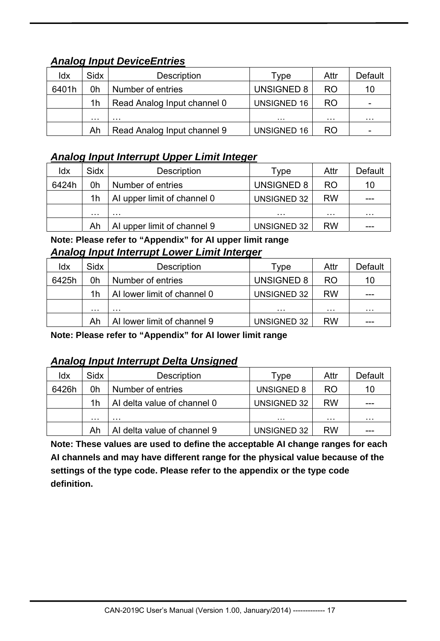## *Analog Input DeviceEntries*

| ldx   | <b>Sidx</b>    | <b>Description</b>          | Type               | Attr      | Default |
|-------|----------------|-----------------------------|--------------------|-----------|---------|
| 6401h | 0h             | Number of entries           | UNSIGNED 8         | <b>RO</b> | 10      |
|       | 1 <sub>h</sub> | Read Analog Input channel 0 | UNSIGNED 16        | <b>RO</b> |         |
|       | .              | .                           | .                  | .         | .       |
|       | Ah             | Read Analog Input channel 9 | <b>UNSIGNED 16</b> | <b>RO</b> |         |

## *Analog Input Interrupt Upper Limit Integer*

| ldx   | Sidx | <b>Description</b>          | Type               | Attr      | Default |
|-------|------|-----------------------------|--------------------|-----------|---------|
| 6424h | 0h   | Number of entries           | <b>UNSIGNED 8</b>  | <b>RO</b> | 10      |
|       | 1h   | AI upper limit of channel 0 | UNSIGNED 32        | <b>RW</b> |         |
|       | .    | .                           | .                  | .         | .       |
|       | Ah   | AI upper limit of channel 9 | <b>UNSIGNED 32</b> | <b>RW</b> | ---     |

**Note: Please refer to "Appendix" for AI upper limit range** *Analog Input Interrupt Lower Limit Interger*

| ldx   | <b>Sidx</b> | Description                 | Type               | Attr      | Default |
|-------|-------------|-----------------------------|--------------------|-----------|---------|
| 6425h | 0h          | Number of entries           | UNSIGNED 8         | <b>RO</b> | 10      |
|       | 1h          | Al lower limit of channel 0 | <b>UNSIGNED 32</b> | <b>RW</b> |         |
|       | .           | .                           | .                  | .         | .       |
|       | Ah          | Al lower limit of channel 9 | <b>UNSIGNED 32</b> | <b>RW</b> | ---     |

**Note: Please refer to "Appendix" for AI lower limit range**

## *Analog Input Interrupt Delta Unsigned*

| ldx   | Sidx | <b>Description</b>          | Type               | Attr      | Default              |
|-------|------|-----------------------------|--------------------|-----------|----------------------|
| 6426h | 0h   | Number of entries           | <b>UNSIGNED 8</b>  | <b>RO</b> | 10                   |
|       | 1h   | Al delta value of channel 0 | UNSIGNED 32        | <b>RW</b> | ---                  |
|       | .    | .                           | .                  | .         | $\sim$ $\sim$ $\sim$ |
|       | Ah   | Al delta value of channel 9 | <b>UNSIGNED 32</b> | <b>RW</b> | ---                  |

**Note: These values are used to define the acceptable AI change ranges for each AI channels and may have different range for the physical value because of the settings of the type code. Please refer to the appendix or the type code definition.**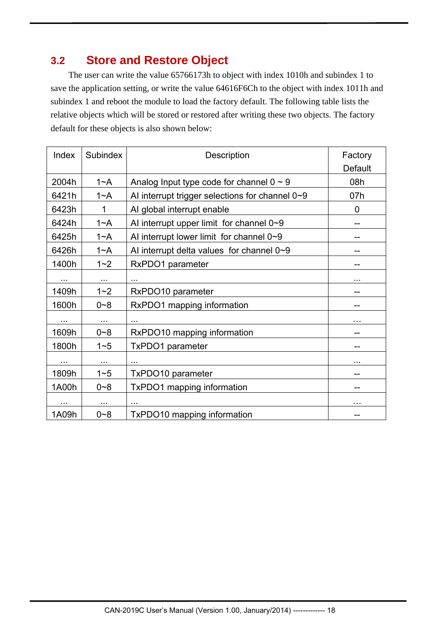# **3.2 Store and Restore Object**

 The user can write the value 65766173h to object with index 1010h and subindex 1 to save the application setting, or write the value 64616F6Ch to the object with index 1011h and subindex 1 and reboot the module to load the factory default. The following table lists the relative objects which will be stored or restored after writing these two objects. The factory default for these objects is also shown below:

| Index    | Subindex | Description                                     | Factory<br><b>Default</b> |
|----------|----------|-------------------------------------------------|---------------------------|
| 2004h    | $1 - A$  | Analog Input type code for channel $0 \sim 9$   | 08h                       |
| 6421h    | $1 - A$  | Al interrupt trigger selections for channel 0~9 | 07h                       |
| 6423h    | 1        | Al global interrupt enable                      | 0                         |
| 6424h    | $1 - A$  | Al interrupt upper limit for channel $0\nu$ -9  | --                        |
| 6425h    | $1 - A$  | AI interrupt lower limit for channel $0\nu 9$   |                           |
| 6426h    | $1 - A$  | Al interrupt delta values for channel $0\nu$ 9  | --                        |
| 1400h    | $1 - 2$  | RxPDO1 parameter                                | --                        |
| $\cdots$ | $\cdots$ | .                                               | .                         |
| 1409h    | $1 - 2$  | RxPDO10 parameter                               |                           |
| 1600h    | $0 - 8$  | RxPDO1 mapping information                      |                           |
|          |          |                                                 |                           |
| 1609h    | $0 - 8$  | RxPDO10 mapping information                     |                           |
| 1800h    | $1 - 5$  | TxPDO1 parameter                                |                           |
| $\cdots$ | $\cdots$ |                                                 | .                         |
| 1809h    | $1 - 5$  | TxPDO10 parameter                               | --                        |
| 1A00h    | $0 - 8$  | TxPDO1 mapping information                      | ۰.                        |
| $\cdots$ | $\cdots$ | .                                               | .                         |
| 1A09h    | $0 - 8$  | TxPDO10 mapping information                     | --                        |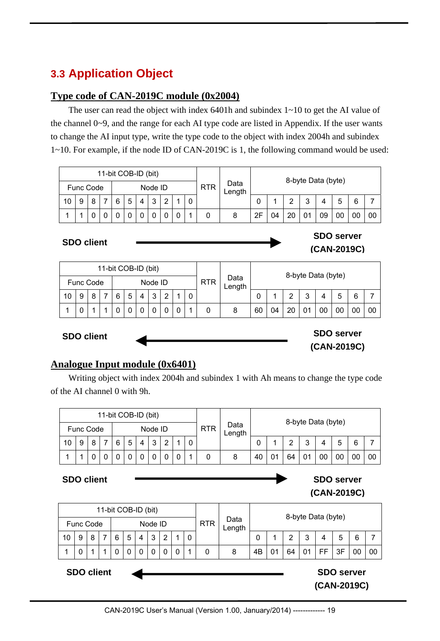# **3.3 Application Object**

#### **Type code of CAN-2019C module (0x2004)**

The user can read the object with index 6401h and subindex 1~10 to get the AI value of the channel 0~9, and the range for each AI type code are listed in Appendix. If the user wants to change the AI input type, write the type code to the object with index 2004h and subindex 1~10. For example, if the node ID of CAN-2019C is 1, the following command would be used:

|    |           |   |   |   | 11-bit COB-ID (bit) |                   |        |   |            |                |    |    |    |                    |    |    |    |    |
|----|-----------|---|---|---|---------------------|-------------------|--------|---|------------|----------------|----|----|----|--------------------|----|----|----|----|
|    | Func Code |   |   |   |                     | Node ID           |        |   | <b>RTR</b> | Data<br>∟ength |    |    |    | 8-byte Data (byte) |    |    |    |    |
| 10 | 9         | 8 | 6 | 5 | 4                   | $\mathbf{z}$<br>J | $\sim$ | 0 |            |                | 0  |    | ⌒  | 2<br>J             |    | 5  |    |    |
|    |           |   |   |   |                     |                   |        |   |            |                | 2F | 04 | 20 | 01                 | 09 | 00 | 0C | 00 |

#### **SDO client**

|    |           |   | 11-bit COB-ID (bit) |   |   |         |   |   |            |                |    |    |    |                    |    |    |    |    |
|----|-----------|---|---------------------|---|---|---------|---|---|------------|----------------|----|----|----|--------------------|----|----|----|----|
|    | Func Code |   |                     |   |   | Node ID |   |   | <b>RTR</b> | Data<br>∟ength |    |    |    | 8-byte Data (byte) |    |    |    |    |
| 10 |           | 8 | 6                   | 5 | 4 | 3       | っ | C |            |                | 0  |    | ົ  | 3                  | 4  | 5  | 6  |    |
|    |           |   |                     |   |   |         |   |   | 0          | 8              | 60 | 04 | 20 |                    | 00 | 00 | O( | 00 |

**SDO client**

**SDO server (CAN-2019C)**

**SDO server (CAN-2019C)**

#### **Analogue Input module (0x6401)**

Writing object with index 2004h and subindex 1 with Ah means to change the type code of the AI channel 0 with 9h.

|    |           |   | 11-bit COB-ID (bit) |   |    |         |   |   |            |                |    |    |    |                    |    |   |    |    |
|----|-----------|---|---------------------|---|----|---------|---|---|------------|----------------|----|----|----|--------------------|----|---|----|----|
|    | Func Code |   |                     |   |    | Node ID |   |   | <b>RTR</b> | Data<br>Length |    |    |    | 8-byte Data (byte) |    |   |    |    |
| 10 | 9         | 8 | 6                   | 5 | -4 | 3       | ◠ |   |            |                | 0  |    | ົ  | າ<br>J             |    | 5 | 6  |    |
| ◢  |           | U |                     |   |    |         |   | 0 |            | 8              | 40 | 01 | 64 |                    | OC |   | 00 | 00 |

#### **SDO client**

#### **SDO server (CAN-2019C)**

|    |                   |   | 11-bit COB-ID (bit) |             |   |         |                |   |             |            |                |    |    |                                  |                       |    |    |    |    |
|----|-------------------|---|---------------------|-------------|---|---------|----------------|---|-------------|------------|----------------|----|----|----------------------------------|-----------------------|----|----|----|----|
|    | <b>Func Code</b>  |   |                     |             |   | Node ID |                |   |             | <b>RTR</b> | Data<br>Length |    |    | 8-byte Data (byte)               |                       |    |    |    |    |
| 10 | 9                 | 8 | 6                   | 5           | 4 | 3       | $\overline{2}$ |   | 0           |            |                | 0  |    | 2                                | 3<br>5<br>6<br>4<br>7 |    |    |    |    |
| 1  | $\mathbf 0$       | 4 | 0                   | $\mathbf 0$ | 0 | 0       | 0              | 0 | $\mathbf 1$ | 0          | 8              | 4B | 01 | 64                               | 01                    | FF | 3F | 00 | 00 |
|    | <b>SDO client</b> |   |                     |             |   |         |                |   |             |            |                |    |    | <b>SDO server</b><br>(CAN-2019C) |                       |    |    |    |    |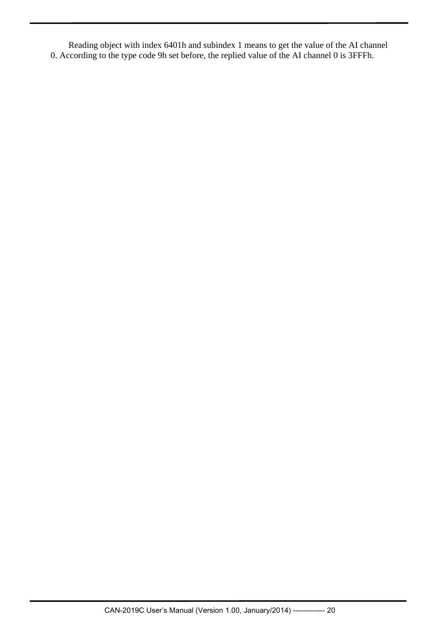Reading object with index 6401h and subindex 1 means to get the value of the AI channel 0. According to the type code 9h set before, the replied value of the AI channel 0 is 3FFFh.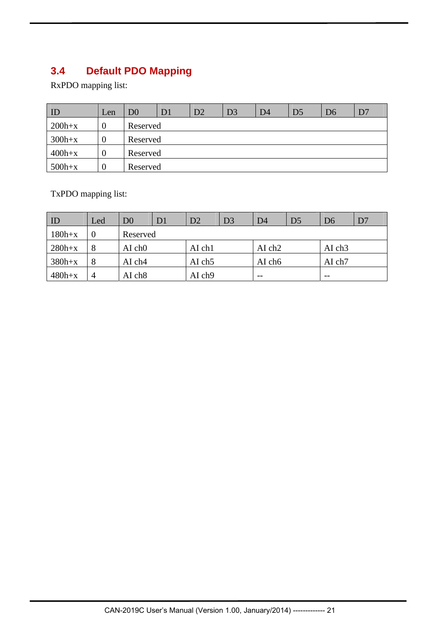# **3.4 Default PDO Mapping**

RxPDO mapping list:

| $\overline{1}$ | Len | D0       | D <sub>1</sub> | D2 | D <sub>3</sub> | D <sub>4</sub> | D <sub>5</sub> | D <sub>6</sub> | D7 |
|----------------|-----|----------|----------------|----|----------------|----------------|----------------|----------------|----|
| $200h+x$       |     | Reserved |                |    |                |                |                |                |    |
| $300h+x$       | U   | Reserved |                |    |                |                |                |                |    |
| $400h+x$       |     | Reserved |                |    |                |                |                |                |    |
| $500h+x$       | U   | Reserved |                |    |                |                |                |                |    |

TxPDO mapping list:

| $\overline{1}$ | Led            | $\operatorname{D}0$ | D <sub>1</sub> | D2                 | D <sub>3</sub> | D <sub>4</sub>     | D <sub>5</sub> | D <sub>6</sub> | D7 |
|----------------|----------------|---------------------|----------------|--------------------|----------------|--------------------|----------------|----------------|----|
| $180h+x$       |                | Reserved            |                |                    |                |                    |                |                |    |
| $280h+x$       | 8              | $AI$ ch $O$         |                | AI ch1             |                | AI ch <sub>2</sub> |                | AI ch3         |    |
| $380h+x$       | 8              | AI ch4              |                | AI ch <sub>5</sub> |                | AI ch6             |                | AI ch7         |    |
| $480h+x$       | $\overline{4}$ | AI ch8              |                | AI ch9             |                | $- -$              |                | $- -$          |    |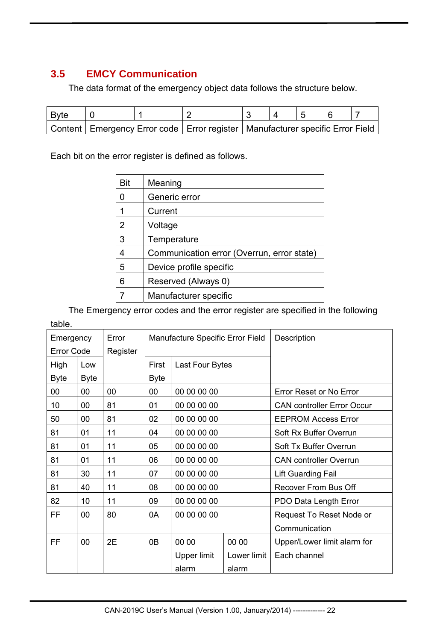## **3.5 EMCY Communication**

The data format of the emergency object data follows the structure below.

| ' Byte |                                                                                     |  |  |  |  |
|--------|-------------------------------------------------------------------------------------|--|--|--|--|
|        | Content   Emergency Error code   Error register   Manufacturer specific Error Field |  |  |  |  |

Each bit on the error register is defined as follows.

| Bit | Meaning                                    |
|-----|--------------------------------------------|
| ∩   | Generic error                              |
|     | Current                                    |
| 2   | Voltage                                    |
| 3   | Temperature                                |
|     | Communication error (Overrun, error state) |
| 5   | Device profile specific                    |
| հ   | Reserved (Always 0)                        |
|     | Manufacturer specific                      |

 The Emergency error codes and the error register are specified in the following table.

| Emergency         |             | Error    | Manufacture Specific Error Field |                 |             | Description                       |
|-------------------|-------------|----------|----------------------------------|-----------------|-------------|-----------------------------------|
| <b>Error Code</b> |             | Register |                                  |                 |             |                                   |
| High              | Low         |          | First                            | Last Four Bytes |             |                                   |
| <b>Byte</b>       | <b>Byte</b> |          | <b>Byte</b>                      |                 |             |                                   |
| 00                | 00          | 00       | 00                               | 00 00 00 00     |             | Error Reset or No Error           |
| 10                | 00          | 81       | 01                               | 00 00 00 00     |             | <b>CAN controller Error Occur</b> |
| 50                | 00          | 81       | 02                               | 00 00 00 00     |             | <b>EEPROM Access Error</b>        |
| 81                | 01          | 11       | 04                               | 00 00 00 00     |             | Soft Rx Buffer Overrun            |
| 81                | 01          | 11       | 05                               | 00 00 00 00     |             | Soft Tx Buffer Overrun            |
| 81                | 01          | 11       | 06                               | 00 00 00 00     |             | <b>CAN controller Overrun</b>     |
| 81                | 30          | 11       | 07                               | 00 00 00 00     |             | <b>Lift Guarding Fail</b>         |
| 81                | 40          | 11       | 08                               | 00 00 00 00     |             | Recover From Bus Off              |
| 82                | 10          | 11       | 09                               | 00 00 00 00     |             | PDO Data Length Error             |
| FF                | 00          | 80       | 0A                               | 00 00 00 00     |             | Request To Reset Node or          |
|                   |             |          |                                  |                 |             | Communication                     |
| <b>FF</b>         | 00          | 2E       | 0B                               | 00 00           | 00 00       | Upper/Lower limit alarm for       |
|                   |             |          |                                  | Upper limit     | Lower limit | Each channel                      |
|                   |             |          |                                  | alarm           | alarm       |                                   |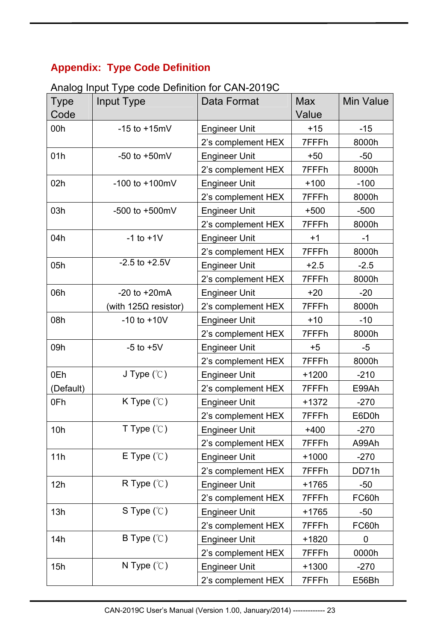# **Appendix: Type Code Definition**

| Analog Input Type code Definition for CAN-2019C |  |
|-------------------------------------------------|--|
|-------------------------------------------------|--|

| <b>Type</b><br>Code | Input Type                   | Data Format          | <b>Max</b><br>Value | <b>Min Value</b> |
|---------------------|------------------------------|----------------------|---------------------|------------------|
| 00h                 | $-15$ to $+15$ mV            | <b>Engineer Unit</b> | $+15$               | $-15$            |
|                     |                              | 2's complement HEX   | 7FFFh               | 8000h            |
| 01h                 | -50 to $+50$ mV              | <b>Engineer Unit</b> | $+50$               | $-50$            |
|                     |                              | 2's complement HEX   | 7FFFh               | 8000h            |
| 02h                 | $-100$ to $+100$ mV          | <b>Engineer Unit</b> | $+100$              | $-100$           |
|                     |                              | 2's complement HEX   | 7FFFh               | 8000h            |
| 03h                 | $-500$ to $+500$ mV          | <b>Engineer Unit</b> | $+500$              | $-500$           |
|                     |                              | 2's complement HEX   | 7FFFh               | 8000h            |
| 04h                 | $-1$ to $+1$ V               | <b>Engineer Unit</b> | $+1$                | $-1$             |
|                     |                              | 2's complement HEX   | 7FFFh               | 8000h            |
| 05h                 | $-2.5$ to $+2.5V$            | <b>Engineer Unit</b> | $+2.5$              | $-2.5$           |
|                     |                              | 2's complement HEX   | 7FFFh               | 8000h            |
| 06h                 | $-20$ to $+20$ mA            | <b>Engineer Unit</b> | $+20$               | $-20$            |
|                     | (with 125 $\Omega$ resistor) | 2's complement HEX   | 7FFFh               | 8000h            |
| 08h                 | $-10$ to $+10V$              | <b>Engineer Unit</b> | $+10$               | $-10$            |
|                     |                              | 2's complement HEX   | 7FFFh               | 8000h            |
| 09h                 | $-5$ to $+5V$                | <b>Engineer Unit</b> | $+5$                | $-5$             |
|                     |                              | 2's complement HEX   | 7FFFh               | 8000h            |
| 0Eh                 | J Type $(\mathcal{C})$       | <b>Engineer Unit</b> | $+1200$             | $-210$           |
| (Default)           |                              | 2's complement HEX   | 7FFFh               | E99Ah            |
| 0Fh                 | K Type $(\mathcal{C})$       | <b>Engineer Unit</b> | $+1372$             | $-270$           |
|                     |                              | 2's complement HEX   | 7FFFh               | E6D0h            |
| 10h                 | T Type $(\mathcal{C})$       | <b>Engineer Unit</b> | $+400$              | $-270$           |
|                     |                              | 2's complement HEX   | 7FFFh               | A99Ah            |
| 11h                 | E Type $(\mathcal{C})$       | <b>Engineer Unit</b> | $+1000$             | $-270$           |
|                     |                              | 2's complement HEX   | 7FFFh               | DD71h            |
| 12h                 | R Type $(\mathcal{C})$       | <b>Engineer Unit</b> | +1765               | $-50$            |
|                     |                              | 2's complement HEX   | 7FFFh               | FC60h            |
| 13h                 | S Type $(\mathcal{C})$       | <b>Engineer Unit</b> | $+1765$             | $-50$            |
|                     |                              | 2's complement HEX   | 7FFFh               | FC60h            |
| 14h                 | B Type $(\mathcal{C})$       | <b>Engineer Unit</b> | +1820               | $\mathbf 0$      |
|                     |                              | 2's complement HEX   | 7FFFh               | 0000h            |
| 15h                 | N Type $(\mathcal{C})$       | <b>Engineer Unit</b> | $+1300$             | $-270$           |
|                     |                              | 2's complement HEX   | 7FFFh               | E56Bh            |